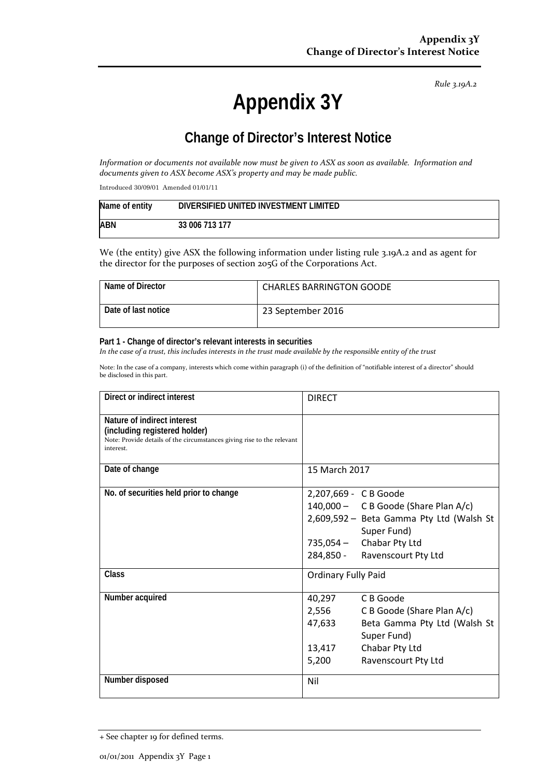*Rule 3.19A.2*

# **Appendix 3Y**

# **Change of Director's Interest Notice**

*Information or documents not available now must be given to ASX as soon as available. Information and documents given to ASX become ASX's property and may be made public.*

Introduced 30/09/01 Amended 01/01/11

| Name of entity | DIVERSIFIED UNITED INVESTMENT LIMITED |
|----------------|---------------------------------------|
| <b>ABN</b>     | 33 006 713 177                        |

We (the entity) give ASX the following information under listing rule 3.19A.2 and as agent for the director for the purposes of section 205G of the Corporations Act.

| Name of Director    | <b>CHARLES BARRINGTON GOODE</b> |
|---------------------|---------------------------------|
| Date of last notice | 23 September 2016               |

#### **Part 1 - Change of director's relevant interests in securities**

*In the case of a trust, this includes interests in the trust made available by the responsible entity of the trust*

Note: In the case of a company, interests which come within paragraph (i) of the definition of "notifiable interest of a director" should be disclosed in this part.

| Direct or indirect interest                                                                                                                         | <b>DIRECT</b>                                                                                                                                                                           |  |
|-----------------------------------------------------------------------------------------------------------------------------------------------------|-----------------------------------------------------------------------------------------------------------------------------------------------------------------------------------------|--|
| Nature of indirect interest<br>(including registered holder)<br>Note: Provide details of the circumstances giving rise to the relevant<br>interest. |                                                                                                                                                                                         |  |
| Date of change                                                                                                                                      | 15 March 2017                                                                                                                                                                           |  |
| No. of securities held prior to change                                                                                                              | 2,207,669 - C B Goode<br>140,000 - C B Goode (Share Plan A/c)<br>2,609,592 - Beta Gamma Pty Ltd (Walsh St<br>Super Fund)<br>$735,054 -$ Chabar Pty Ltd<br>284,850 - Ravenscourt Pty Ltd |  |
| <b>Class</b>                                                                                                                                        | <b>Ordinary Fully Paid</b>                                                                                                                                                              |  |
| Number acquired                                                                                                                                     | C B Goode<br>40,297<br>2,556<br>C B Goode (Share Plan A/c)<br>47,633<br>Beta Gamma Pty Ltd (Walsh St<br>Super Fund)<br>Chabar Pty Ltd<br>13,417<br>Ravenscourt Pty Ltd<br>5,200         |  |
| Number disposed                                                                                                                                     | Nil                                                                                                                                                                                     |  |

<sup>+</sup> See chapter 19 for defined terms.